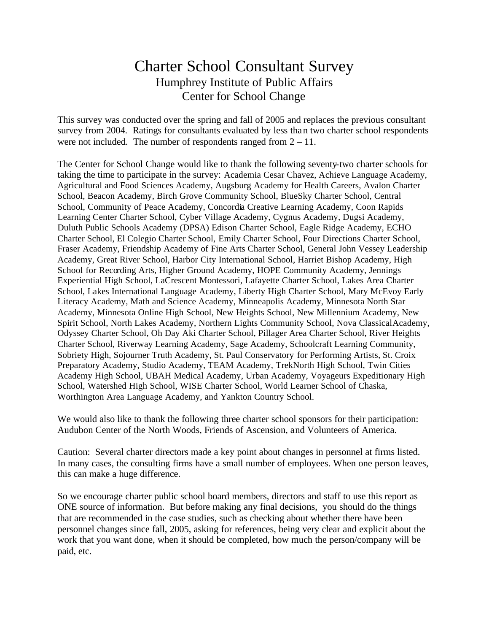## Charter School Consultant Survey Humphrey Institute of Public Affairs Center for School Change

This survey was conducted over the spring and fall of 2005 and replaces the previous consultant survey from 2004. Ratings for consultants evaluated by less than two charter school respondents were not included. The number of respondents ranged from  $2 - 11$ .

The Center for School Change would like to thank the following seventy-two charter schools for taking the time to participate in the survey: Academia Cesar Chavez, Achieve Language Academy, Agricultural and Food Sciences Academy, Augsburg Academy for Health Careers, Avalon Charter School, Beacon Academy, Birch Grove Community School, BlueSky Charter School, Central School, Community of Peace Academy, Concordia Creative Learning Academy, Coon Rapids Learning Center Charter School, Cyber Village Academy, Cygnus Academy, Dugsi Academy, Duluth Public Schools Academy (DPSA) Edison Charter School, Eagle Ridge Academy, ECHO Charter School, El Colegio Charter School, Emily Charter School, Four Directions Charter School, Fraser Academy, Friendship Academy of Fine Arts Charter School, General John Vessey Leadership Academy, Great River School, Harbor City International School, Harriet Bishop Academy, High School for Recording Arts, Higher Ground Academy, HOPE Community Academy, Jennings Experiential High School, LaCrescent Montessori, Lafayette Charter School, Lakes Area Charter School, Lakes International Language Academy, Liberty High Charter School, Mary McEvoy Early Literacy Academy, Math and Science Academy, Minneapolis Academy, Minnesota North Star Academy, Minnesota Online High School, New Heights School, New Millennium Academy, New Spirit School, North Lakes Academy, Northern Lights Community School, Nova Classical Academy, Odyssey Charter School, Oh Day Aki Charter School, Pillager Area Charter School, River Heights Charter School, Riverway Learning Academy, Sage Academy, Schoolcraft Learning Community, Sobriety High, Sojourner Truth Academy, St. Paul Conservatory for Performing Artists, St. Croix Preparatory Academy, Studio Academy, TEAM Academy, TrekNorth High School, Twin Cities Academy High School, UBAH Medical Academy, Urban Academy, Voyageurs Expeditionary High School, Watershed High School, WISE Charter School, World Learner School of Chaska, Worthington Area Language Academy, and Yankton Country School.

We would also like to thank the following three charter school sponsors for their participation: Audubon Center of the North Woods, Friends of Ascension, and Volunteers of America.

Caution: Several charter directors made a key point about changes in personnel at firms listed. In many cases, the consulting firms have a small number of employees. When one person leaves, this can make a huge difference.

So we encourage charter public school board members, directors and staff to use this report as ONE source of information. But before making any final decisions, you should do the things that are recommended in the case studies, such as checking about whether there have been personnel changes since fall, 2005, asking for references, being very clear and explicit about the work that you want done, when it should be completed, how much the person/company will be paid, etc.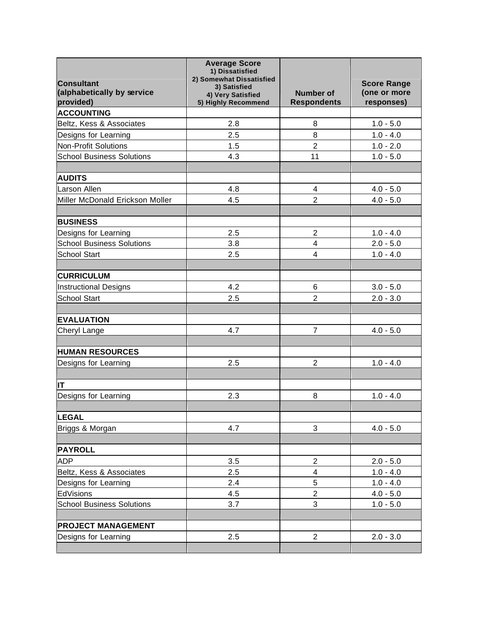| <b>Consultant</b><br>(alphabetically by service<br>provided) | <b>Average Score</b><br>1) Dissatisfied<br>2) Somewhat Dissatisfied<br>3) Satisfied<br>4) Very Satisfied<br>5) Highly Recommend | <b>Number of</b><br><b>Respondents</b> | <b>Score Range</b><br>(one or more<br>responses) |
|--------------------------------------------------------------|---------------------------------------------------------------------------------------------------------------------------------|----------------------------------------|--------------------------------------------------|
| <b>ACCOUNTING</b>                                            |                                                                                                                                 |                                        |                                                  |
| Beltz, Kess & Associates                                     | 2.8                                                                                                                             | 8                                      | $1.0 - 5.0$                                      |
| Designs for Learning                                         | 2.5                                                                                                                             | 8                                      | $1.0 - 4.0$                                      |
| <b>Non-Profit Solutions</b>                                  | 1.5                                                                                                                             | $\overline{2}$                         | $1.0 - 2.0$                                      |
| <b>School Business Solutions</b>                             | 4.3                                                                                                                             | 11                                     | $1.0 - 5.0$                                      |
|                                                              |                                                                                                                                 |                                        |                                                  |
| <b>AUDITS</b>                                                |                                                                                                                                 |                                        |                                                  |
| Larson Allen                                                 | 4.8                                                                                                                             | 4                                      | $4.0 - 5.0$                                      |
| Miller McDonald Erickson Moller                              | 4.5                                                                                                                             | $\overline{2}$                         | $4.0 - 5.0$                                      |
|                                                              |                                                                                                                                 |                                        |                                                  |
| <b>BUSINESS</b>                                              |                                                                                                                                 |                                        |                                                  |
| Designs for Learning                                         | 2.5                                                                                                                             | $\overline{2}$                         | $1.0 - 4.0$                                      |
| <b>School Business Solutions</b>                             | 3.8                                                                                                                             | $\overline{4}$                         | $2.0 - 5.0$                                      |
| <b>School Start</b>                                          | 2.5                                                                                                                             | 4                                      | $1.0 - 4.0$                                      |
|                                                              |                                                                                                                                 |                                        |                                                  |
| <b>CURRICULUM</b>                                            |                                                                                                                                 |                                        |                                                  |
| <b>Instructional Designs</b>                                 | 4.2                                                                                                                             | 6                                      | $3.0 - 5.0$                                      |
| <b>School Start</b>                                          | 2.5                                                                                                                             | $\overline{2}$                         | $2.0 - 3.0$                                      |
|                                                              |                                                                                                                                 |                                        |                                                  |
| <b>EVALUATION</b>                                            |                                                                                                                                 |                                        |                                                  |
| Cheryl Lange                                                 | 4.7                                                                                                                             | 7                                      | $4.0 - 5.0$                                      |
|                                                              |                                                                                                                                 |                                        |                                                  |
| <b>HUMAN RESOURCES</b>                                       |                                                                                                                                 |                                        |                                                  |
| Designs for Learning                                         | 2.5                                                                                                                             | $\overline{2}$                         | $1.0 - 4.0$                                      |
|                                                              |                                                                                                                                 |                                        |                                                  |
| IT                                                           |                                                                                                                                 |                                        |                                                  |
| Designs for Learning                                         | 2.3                                                                                                                             | 8                                      | $1.0 - 4.0$                                      |
| <b>LEGAL</b>                                                 |                                                                                                                                 |                                        |                                                  |
| Briggs & Morgan                                              | 4.7                                                                                                                             | 3                                      | $4.0 - 5.0$                                      |
|                                                              |                                                                                                                                 |                                        |                                                  |
| <b>PAYROLL</b>                                               |                                                                                                                                 |                                        |                                                  |
| <b>ADP</b>                                                   | 3.5                                                                                                                             | $\overline{2}$                         | $2.0 - 5.0$                                      |
| Beltz, Kess & Associates                                     | 2.5                                                                                                                             | 4                                      | $1.0 - 4.0$                                      |
| Designs for Learning                                         | 2.4                                                                                                                             | 5                                      | $1.0 - 4.0$                                      |
| EdVisions                                                    | 4.5                                                                                                                             | $\overline{2}$                         | $4.0 - 5.0$                                      |
| <b>School Business Solutions</b>                             | 3.7                                                                                                                             | 3                                      | $1.0 - 5.0$                                      |
|                                                              |                                                                                                                                 |                                        |                                                  |
| <b>PROJECT MANAGEMENT</b>                                    |                                                                                                                                 |                                        |                                                  |
| Designs for Learning                                         | 2.5                                                                                                                             | $\overline{2}$                         | $2.0 - 3.0$                                      |
|                                                              |                                                                                                                                 |                                        |                                                  |